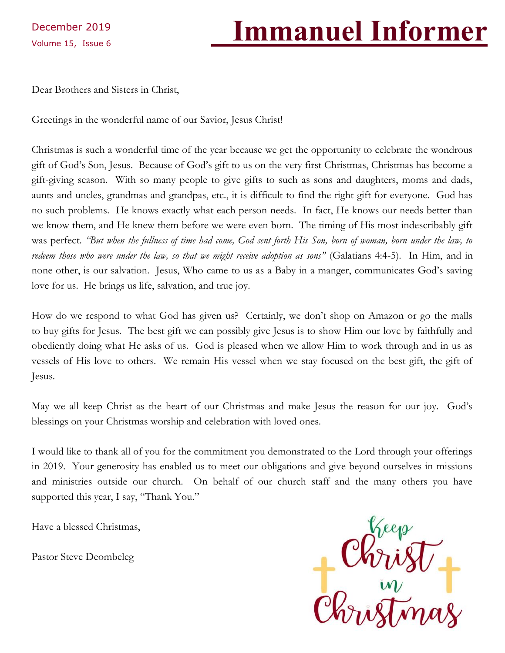December 2019

# Volume 15, Issue 6 **Immanuel Informer**

Dear Brothers and Sisters in Christ,

Greetings in the wonderful name of our Savior, Jesus Christ!

Christmas is such a wonderful time of the year because we get the opportunity to celebrate the wondrous gift of God's Son, Jesus. Because of God's gift to us on the very first Christmas, Christmas has become a gift-giving season. With so many people to give gifts to such as sons and daughters, moms and dads, aunts and uncles, grandmas and grandpas, etc., it is difficult to find the right gift for everyone. God has no such problems. He knows exactly what each person needs. In fact, He knows our needs better than we know them, and He knew them before we were even born. The timing of His most indescribably gift was perfect. *"But when the fullness of time had come, God sent forth His Son, born of woman, born under the law, to redeem those who were under the law, so that we might receive adoption as sons"* (Galatians 4:4-5). In Him, and in none other, is our salvation. Jesus, Who came to us as a Baby in a manger, communicates God's saving love for us. He brings us life, salvation, and true joy.

How do we respond to what God has given us? Certainly, we don't shop on Amazon or go the malls to buy gifts for Jesus. The best gift we can possibly give Jesus is to show Him our love by faithfully and obediently doing what He asks of us. God is pleased when we allow Him to work through and in us as vessels of His love to others. We remain His vessel when we stay focused on the best gift, the gift of Jesus.

May we all keep Christ as the heart of our Christmas and make Jesus the reason for our joy. God's blessings on your Christmas worship and celebration with loved ones.

I would like to thank all of you for the commitment you demonstrated to the Lord through your offerings in 2019. Your generosity has enabled us to meet our obligations and give beyond ourselves in missions and ministries outside our church. On behalf of our church staff and the many others you have supported this year, I say, "Thank You."

Have a blessed Christmas,

Pastor Steve Deombeleg

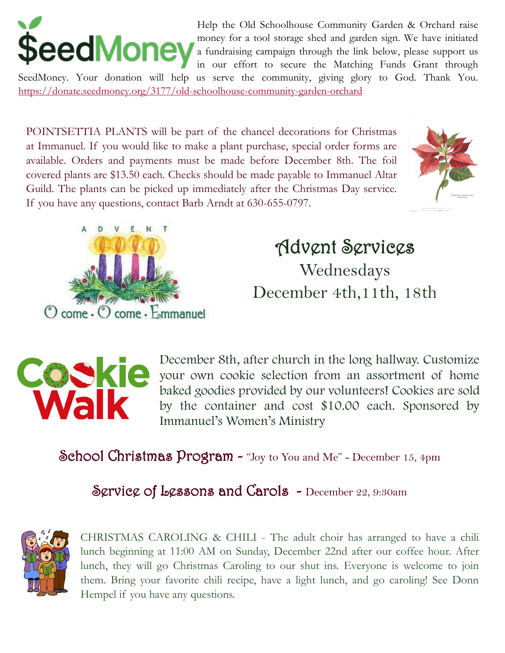

Help the Old Schoolhouse Community Garden & Orchard raise money for a tool storage shed and garden sign. We have initiated a fundraising campaign through the link below, please support us in our effort to secure the Matching Funds Grant through

SeedMoney. Your donation will help us serve the community, giving glory to God. Thank You. <https://donate.seedmoney.org/3177/old-schoolhouse-community-garden-orchard>

POINTSETTIA PLANTS will be part of the chancel decorations for Christmas at Immanuel. If you would like to make a plant purchase, special order forms are available. Orders and payments must be made before December 8th. The foil covered plants are \$13.50 each. Checks should be made payable to Immanuel Altar Guild. The plants can be picked up immediately after the Christmas Day service. If you have any questions, contact Barb Arndt at 630-655-0797.





Advent Services Wednesdays December 4th,11th, 18th



December 8th, after church in the long hallway. Customize your own cookie selection from an assortment of home baked goodies provided by our volunteers! Cookies are sold by the container and cost \$10.00 each. Sponsored by Immanuel's Women's Ministry

School Christmas Program - "Joy to You and Me" - December 15, 4pm

# Scrvice of Lessons and Carols - December 22, 9:30am



CHRISTMAS CAROLING & CHILI - The adult choir has arranged to have a chili lunch beginning at 11:00 AM on Sunday, December 22nd after our coffee hour. After lunch, they will go Christmas Caroling to our shut ins. Everyone is welcome to join them. Bring your favorite chili recipe, have a light lunch, and go caroling! See Donn Hempel if you have any questions.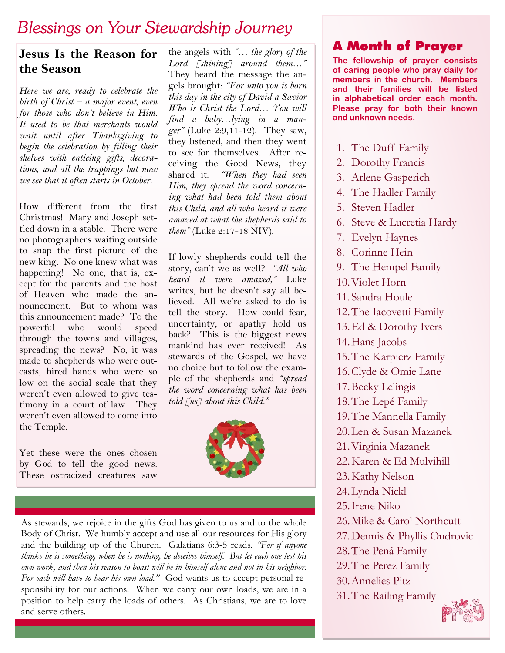# *Blessings on Your Stewardship Journey*

# **Jesus Is the Reason for the Season**

*Here we are, ready to celebrate the birth of Christ – a major event, even for those who don't believe in Him. It used to be that merchants would wait until after Thanksgiving to begin the celebration by filling their shelves with enticing gifts, decorations, and all the trappings but now we see that it often starts in October.*

How different from the first Christmas! Mary and Joseph settled down in a stable. There were no photographers waiting outside to snap the first picture of the new king. No one knew what was happening! No one, that is, except for the parents and the host of Heaven who made the announcement. But to whom was this announcement made? To the powerful who would speed through the towns and villages, spreading the news? No, it was made to shepherds who were outcasts, hired hands who were so low on the social scale that they weren't even allowed to give testimony in a court of law. They weren't even allowed to come into the Temple.

Yet these were the ones chosen by God to tell the good news. These ostracized creatures saw

the angels with *"… the glory of the Lord [shining] around them…"* They heard the message the angels brought: *"For unto you is born this day in the city of David a Savior Who is Christ the Lord… You will find a baby…lying in a manger"* (Luke 2:9,11-12). They saw, they listened, and then they went to see for themselves. After receiving the Good News, they shared it. *"When they had seen Him, they spread the word concerning what had been told them about this Child, and all who heard it were amazed at what the shepherds said to them"* (Luke 2:17-18 NIV).

If lowly shepherds could tell the story, can't we as well? *"All who heard it were amazed,"* Luke writes, but he doesn't say all believed. All we're asked to do is tell the story. How could fear, uncertainty, or apathy hold us back? This is the biggest news mankind has ever received! As stewards of the Gospel, we have no choice but to follow the example of the shepherds and *"spread the word concerning what has been told [us] about this Child."*



As stewards, we rejoice in the gifts God has given to us and to the whole Body of Christ. We humbly accept and use all our resources for His glory and the building up of the Church. Galatians 6:3-5 reads, *"For if anyone thinks he is something, when he is nothing, he deceives himself. But let each one test his own work, and then his reason to boast will be in himself alone and not in his neighbor. For each will have to bear his own load."* God wants us to accept personal responsibility for our actions. When we carry our own loads, we are in a position to help carry the loads of others. As Christians, we are to love and serve others.

# A Month of Prayer

**The fellowship of prayer consists of caring people who pray daily for members in the church. Members and their families will be listed in alphabetical order each month. Please pray for both their known and unknown needs.**

- 1. The Duff Family
- 2. Dorothy Francis
- 3. Arlene Gasperich
- 4. The Hadler Family
- 5. Steven Hadler
- 6. Steve & Lucretia Hardy
- 7. Evelyn Haynes
- 8. Corinne Hein
- 9. The Hempel Family
- 10.Violet Horn
- 11. Sandra Houle
- 12.The Iacovetti Family
- 13.Ed & Dorothy Ivers
- 14.Hans Jacobs
- 15.The Karpierz Family
- 16.Clyde & Omie Lane
- 17.Becky Lelingis
- 18.The Lepé Family
- 19.The Mannella Family
- 20.Len & Susan Mazanek
- 21.Virginia Mazanek
- 22.Karen & Ed Mulvihill
- 23.Kathy Nelson
- 24.Lynda Nickl
- 25.Irene Niko
- 26.Mike & Carol Northcutt
- 27.Dennis & Phyllis Ondrovic
- 28.The Pená Family
- 29.The Perez Family
- 30.Annelies Pitz
- 31.The Railing Family

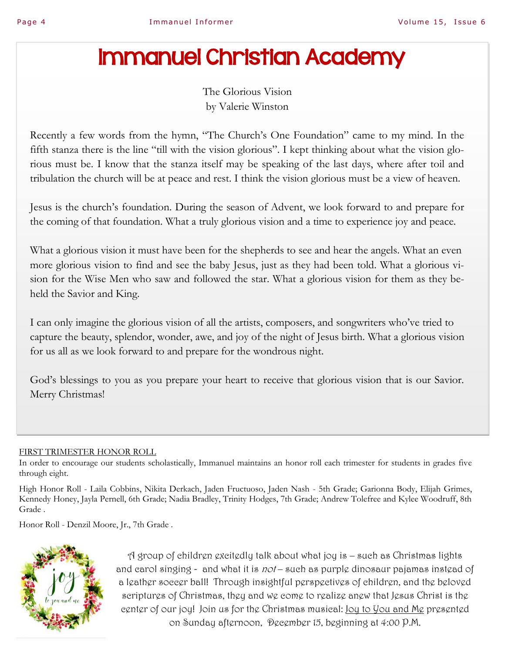# Immanuel Christian Academy

The Glorious Vision by Valerie Winston

Recently a few words from the hymn, "The Church's One Foundation" came to my mind. In the fifth stanza there is the line "till with the vision glorious". I kept thinking about what the vision glorious must be. I know that the stanza itself may be speaking of the last days, where after toil and tribulation the church will be at peace and rest. I think the vision glorious must be a view of heaven.

Jesus is the church's foundation. During the season of Advent, we look forward to and prepare for the coming of that foundation. What a truly glorious vision and a time to experience joy and peace.

What a glorious vision it must have been for the shepherds to see and hear the angels. What an even more glorious vision to find and see the baby Jesus, just as they had been told. What a glorious vision for the Wise Men who saw and followed the star. What a glorious vision for them as they beheld the Savior and King.

I can only imagine the glorious vision of all the artists, composers, and songwriters who've tried to capture the beauty, splendor, wonder, awe, and joy of the night of Jesus birth. What a glorious vision for us all as we look forward to and prepare for the wondrous night.

God's blessings to you as you prepare your heart to receive that glorious vision that is our Savior. Merry Christmas!

#### FIRST TRIMESTER HONOR ROLL

In order to encourage our students scholastically, Immanuel maintains an honor roll each trimester for students in grades five through eight.

High Honor Roll - Laila Cobbins, Nikita Derkach, Jaden Fructuoso, Jaden Nash - 5th Grade; Garionna Body, Elijah Grimes, Kennedy Honey, Jayla Pernell, 6th Grade; Nadia Bradley, Trinity Hodges, 7th Grade; Andrew Tolefree and Kylee Woodruff, 8th Grade .

Honor Roll - Denzil Moore, Jr., 7th Grade .



A group of children excitedly talk about what joy is – such as Christmas lights and carol singing - and what it is not – such as purple dinosaur pajamas instead of a leather soccer ball! Through insightful perspectives of children, and the beloved scriptures of Christmas, they and we come to realize anew that Jesus Christ is the center of our joy! Join us for the Christmas musical: Joy to You and Me presented on Sunday afternoon, December 15, beginning at 4:00 P.M.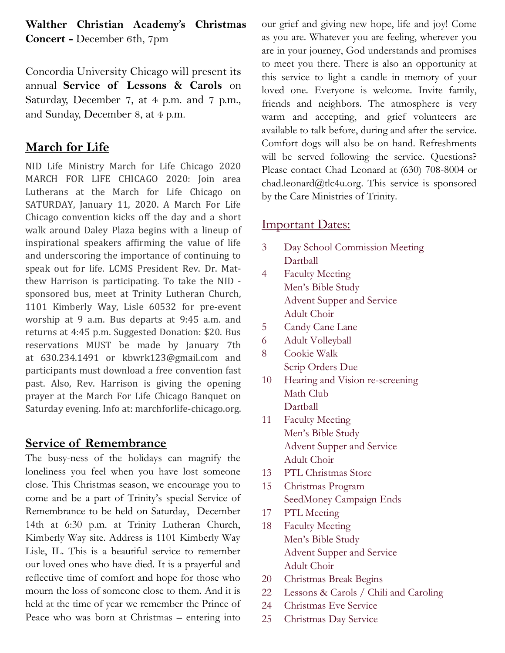## **Walther Christian Academy's Christmas Concert -** December 6th, 7pm

Concordia University Chicago will present its annual **Service of Lessons & Carols** on Saturday, December 7, at 4 p.m. and 7 p.m., and Sunday, December 8, at 4 p.m.

# **March for Life**

NID Life Ministry March for Life Chicago 2020 MARCH FOR LIFE CHICAGO 2020: Join area Lutherans at the March for Life Chicago on SATURDAY, January 11, 2020. A March For Life Chicago convention kicks off the day and a short walk around Daley Plaza begins with a lineup of inspirational speakers affirming the value of life and underscoring the importance of continuing to speak out for life. LCMS President Rev. Dr. Matthew Harrison is participating. To take the NID sponsored bus, meet at Trinity Lutheran Church, 1101 Kimberly Way, Lisle 60532 for pre-event worship at 9 a.m. Bus departs at 9:45 a.m. and returns at 4:45 p.m. Suggested Donation: \$20. Bus reservations MUST be made by January 7th at 630.234.1491 or kbwrk123@gmail.com and participants must download a free convention fast past. Also, Rev. Harrison is giving the opening prayer at the March For Life Chicago Banquet on Saturday evening. Info at: marchforlife-chicago.org.

## **Service of Remembrance**

The busy-ness of the holidays can magnify the loneliness you feel when you have lost someone close. This Christmas season, we encourage you to come and be a part of Trinity's special Service of Remembrance to be held on Saturday, December 14th at 6:30 p.m. at Trinity Lutheran Church, Kimberly Way site. Address is 1101 Kimberly Way Lisle, IL. This is a beautiful service to remember our loved ones who have died. It is a prayerful and reflective time of comfort and hope for those who mourn the loss of someone close to them. And it is held at the time of year we remember the Prince of Peace who was born at Christmas – entering into our grief and giving new hope, life and joy! Come as you are. Whatever you are feeling, wherever you are in your journey, God understands and promises to meet you there. There is also an opportunity at this service to light a candle in memory of your loved one. Everyone is welcome. Invite family, friends and neighbors. The atmosphere is very warm and accepting, and grief volunteers are available to talk before, during and after the service. Comfort dogs will also be on hand. Refreshments will be served following the service. Questions? Please contact Chad Leonard at (630) 708-8004 or chad.leonard@tlc4u.org. This service is sponsored by the Care Ministries of Trinity.

## Important Dates:

- 3 Day School Commission Meeting Dartball
- 4 Faculty Meeting Men's Bible Study Advent Supper and Service Adult Choir
- 5 Candy Cane Lane
- 6 Adult Volleyball
- 8 Cookie Walk Scrip Orders Due
- 10 Hearing and Vision re-screening Math Club Dartball
- 11 Faculty Meeting Men's Bible Study Advent Supper and Service Adult Choir
- 13 PTL Christmas Store
- 15 Christmas Program SeedMoney Campaign Ends
- 17 PTL Meeting
- 18 Faculty Meeting Men's Bible Study Advent Supper and Service Adult Choir
- 20 Christmas Break Begins
- 22 Lessons & Carols / Chili and Caroling
- 24 Christmas Eve Service
- 25 Christmas Day Service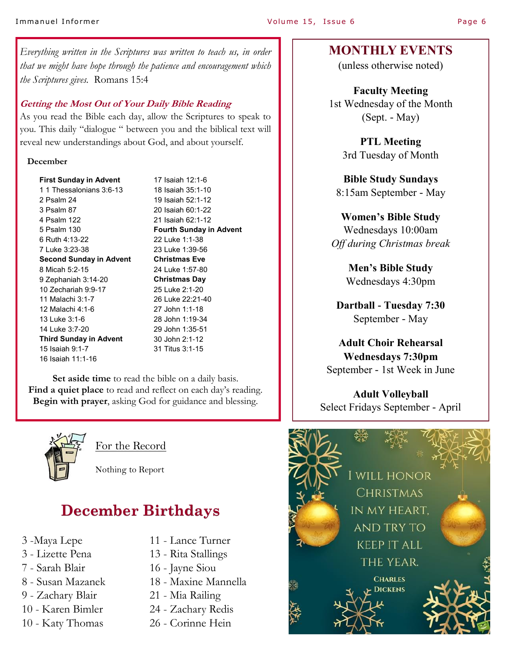#### Immanuel Informer and the result of the Volume 15, Issue 6 and Page 6 Page 6

*Everything written in the Scriptures was written to teach us, in order that we might have hope through the patience and encouragement which the Scriptures gives.* Romans 15:4

#### **Getting the Most Out of Your Daily Bible Reading**

As you read the Bible each day, allow the Scriptures to speak to you. This daily "dialogue " between you and the biblical text will reveal new understandings about God, and about yourself.

#### **December**

**First Sunday in Advent**  1 1 Thessalonians 3:6-13 2 Psalm 24 3 Psalm 87 4 Psalm 122 5 Psalm 130 6 Ruth 4:13-22 7 Luke 3:23-38 **Second Sunday in Advent**  8 Micah 5:2-15 9 Zephaniah 3:14-20 10 Zechariah 9:9-17 11 Malachi 3:1-7 12 Malachi 4:1-6 13 Luke 3:1-6 14 Luke 3:7-20 **Third Sunday in Advent** 15 Isaiah 9:1-7 16 Isaiah 11:1-16

17 Isaiah 12:1-6 18 Isaiah 35:1-10 19 Isaiah 52:1-12 20 Isaiah 60:1-22 21 Isaiah 62:1-12 **Fourth Sunday in Advent** 22 Luke 1:1-38 23 Luke 1:39-56 **Christmas Eve** 24 Luke 1:57-80 **Christmas Day** 25 Luke 2:1-20 26 Luke 22:21-40 27 John 1:1-18 28 John 1:19-34 29 John 1:35-51 30 John 2:1-12 31 Titus 3:1-15

**Set aside time** to read the bible on a daily basis. **Find a quiet place** to read and reflect on each day's reading. **Begin with prayer**, asking God for guidance and blessing.



For the Record

Nothing to Report

# **December Birthdays**

- 3 -Maya Lepe
- 3 Lizette Pena
- 7 Sarah Blair
- 8 Susan Mazanek
- 9 Zachary Blair
- 10 Karen Bimler
- 10 Katy Thomas
- 11 Lance Turner
- 13 Rita Stallings
- 16 Jayne Siou
- 18 Maxine Mannella
- 21 Mia Railing
- 24 Zachary Redis
- 26 Corinne Hein

### **MONTHLY EVENTS**

(unless otherwise noted)

**Faculty Meeting**  1st Wednesday of the Month (Sept. - May)

> **PTL Meeting**  3rd Tuesday of Month

**Bible Study Sundays**  8:15am September - May

#### **Women's Bible Study**

Wednesdays 10:00am *Off during Christmas break*

> **Men's Bible Study** Wednesdays 4:30pm

**Dartball - Tuesday 7:30** September - May

**Adult Choir Rehearsal Wednesdays 7:30pm**  September - 1st Week in June

**Adult Volleyball**  Select Fridays September - April

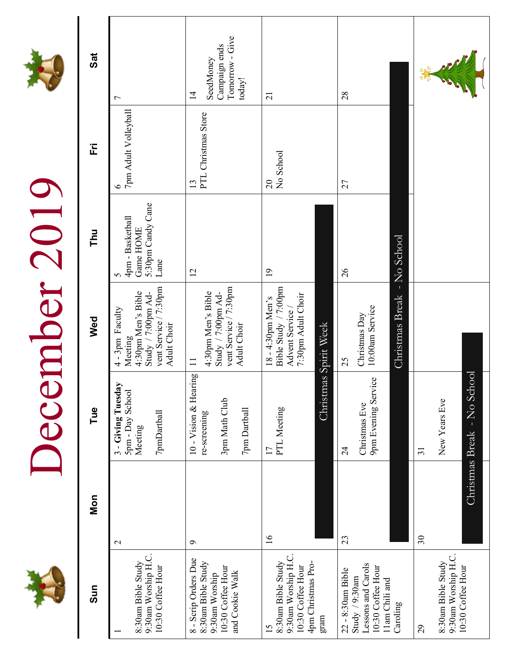# December 2019 December 2019